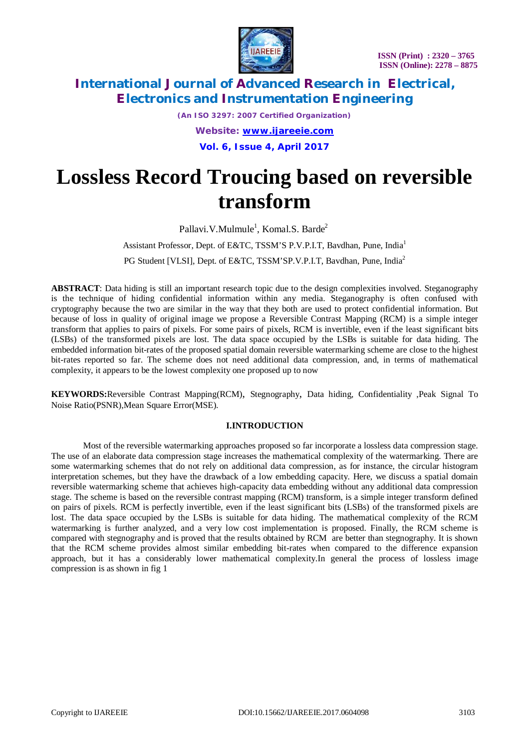

*(An ISO 3297: 2007 Certified Organization) Website: [www.ijareeie.com](http://www.ijareeie.com)* **Vol. 6, Issue 4, April 2017**

# **Lossless Record Troucing based on reversible transform**

Pallavi.V.Mulmule<sup>1</sup>, Komal.S. Barde<sup>2</sup> Assistant Professor, Dept. of E&TC, TSSM'S P.V.P.I.T, Bavdhan, Pune, India<sup>1</sup> PG Student [VLSI], Dept. of E&TC, TSSM'SP.V.P.I.T, Bavdhan, Pune, India<sup>2</sup>

**ABSTRACT**: Data hiding is still an important research topic due to the design complexities involved. Steganography is the technique of hiding confidential information within any media. Steganography is often confused with cryptography because the two are similar in the way that they both are used to protect confidential information. But because of loss in quality of original image we propose a Reversible Contrast Mapping (RCM) is a simple integer transform that applies to pairs of pixels. For some pairs of pixels, RCM is invertible, even if the least significant bits (LSBs) of the transformed pixels are lost. The data space occupied by the LSBs is suitable for data hiding. The embedded information bit-rates of the proposed spatial domain reversible watermarking scheme are close to the highest bit-rates reported so far. The scheme does not need additional data compression, and, in terms of mathematical complexity, it appears to be the lowest complexity one proposed up to now

**KEYWORDS:**Reversible Contrast Mapping(RCM), Stegnography, Data hiding, Confidentiality ,Peak Signal To Noise Ratio(PSNR),Mean Square Error(MSE).

### **I.INTRODUCTION**

Most of the reversible watermarking approaches proposed so far incorporate a lossless data compression stage. The use of an elaborate data compression stage increases the mathematical complexity of the watermarking. There are some watermarking schemes that do not rely on additional data compression, as for instance, the circular histogram interpretation schemes, but they have the drawback of a low embedding capacity. Here, we discuss a spatial domain reversible watermarking scheme that achieves high-capacity data embedding without any additional data compression stage. The scheme is based on the reversible contrast mapping (RCM) transform, is a simple integer transform defined on pairs of pixels. RCM is perfectly invertible, even if the least significant bits (LSBs) of the transformed pixels are lost. The data space occupied by the LSBs is suitable for data hiding. The mathematical complexity of the RCM watermarking is further analyzed, and a very low cost implementation is proposed. Finally, the RCM scheme is compared with stegnography and is proved that the results obtained by RCM are better than stegnography. It is shown that the RCM scheme provides almost similar embedding bit-rates when compared to the difference expansion approach, but it has a considerably lower mathematical complexity.In general the process of lossless image compression is as shown in fig 1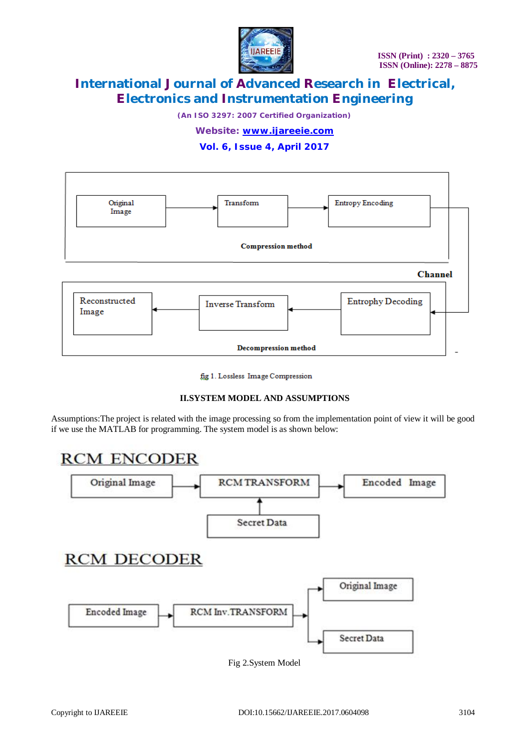

*(An ISO 3297: 2007 Certified Organization)*

## *Website: [www.ijareeie.com](http://www.ijareeie.com)*

**Vol. 6, Issue 4, April 2017**



fig 1. Lossless Image Compression

### **II.SYSTEM MODEL AND ASSUMPTIONS**

Assumptions:The project is related with the image processing so from the implementation point of view it will be good if we use the MATLAB for programming. The system model is as shown below:



Fig 2.System Model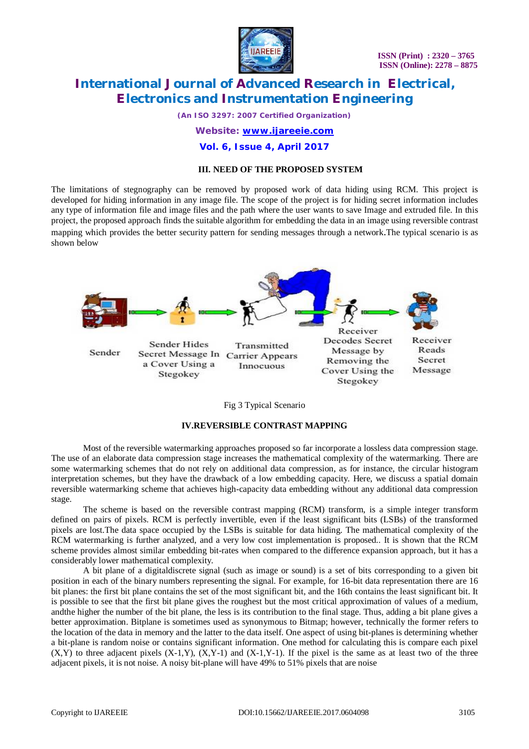

*(An ISO 3297: 2007 Certified Organization)*

*Website: [www.ijareeie.com](http://www.ijareeie.com)*

**Vol. 6, Issue 4, April 2017**

### **III. NEED OF THE PROPOSED SYSTEM**

The limitations of stegnography can be removed by proposed work of data hiding using RCM. This project is developed for hiding information in any image file. The scope of the project is for hiding secret information includes any type of information file and image files and the path where the user wants to save Image and extruded file. In this project, the proposed approach finds the suitable algorithm for embedding the data in an image using reversible contrast mapping which provides the better security pattern for sending messages through a network.The typical scenario is as shown below



Fig 3 Typical Scenario

### **IV.REVERSIBLE CONTRAST MAPPING**

Most of the reversible watermarking approaches proposed so far incorporate a lossless data compression stage. The use of an elaborate data compression stage increases the mathematical complexity of the watermarking. There are some watermarking schemes that do not rely on additional data compression, as for instance, the circular histogram interpretation schemes, but they have the drawback of a low embedding capacity. Here, we discuss a spatial domain reversible watermarking scheme that achieves high-capacity data embedding without any additional data compression stage.

The scheme is based on the reversible contrast mapping (RCM) transform, is a simple integer transform defined on pairs of pixels. RCM is perfectly invertible, even if the least significant bits (LSBs) of the transformed pixels are lost.The data space occupied by the LSBs is suitable for data hiding. The mathematical complexity of the RCM watermarking is further analyzed, and a very low cost implementation is proposed.. It is shown that the RCM scheme provides almost similar embedding bit-rates when compared to the difference expansion approach, but it has a considerably lower mathematical complexity.

A bit plane of a digitaldiscrete signal (such as image or sound) is a set of bits corresponding to a given bit position in each of the binary numbers representing the signal. For example, for 16-bit data representation there are 16 bit planes: the first bit plane contains the set of the most significant bit, and the 16th contains the least significant bit. It is possible to see that the first bit plane gives the roughest but the most critical approximation of values of a medium, andthe higher the number of the bit plane, the less is its contribution to the final stage. Thus, adding a bit plane gives a better approximation. Bitplane is sometimes used as synonymous to Bitmap; however, technically the former refers to the location of the data in memory and the latter to the data itself. One aspect of using bit-planes is determining whether a bit-plane is random noise or contains significant information. One method for calculating this is compare each pixel  $(X,Y)$  to three adjacent pixels  $(X-1,Y)$ ,  $(X,Y-1)$  and  $(X-1,Y-1)$ . If the pixel is the same as at least two of the three adjacent pixels, it is not noise. A noisy bit-plane will have 49% to 51% pixels that are noise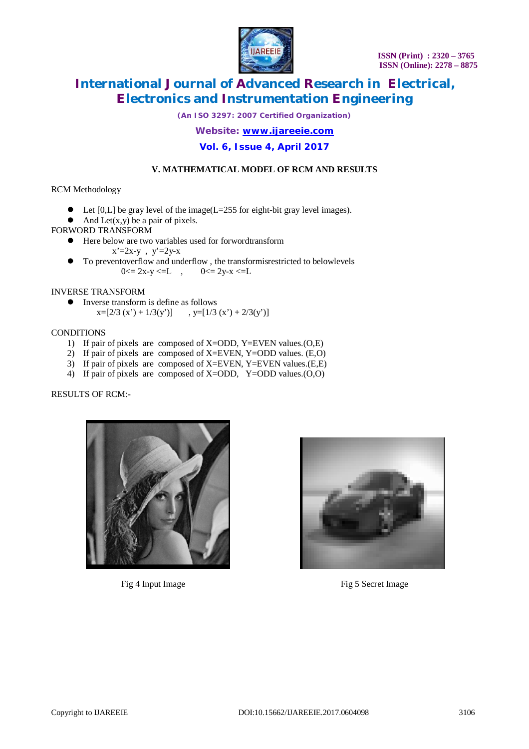

*(An ISO 3297: 2007 Certified Organization)*

*Website: [www.ijareeie.com](http://www.ijareeie.com)*

**Vol. 6, Issue 4, April 2017**

## **V. MATHEMATICAL MODEL OF RCM AND RESULTS**

### RCM Methodology

- $\bullet$  Let [0,L] be gray level of the image(L=255 for eight-bit gray level images).
- $\bullet$  And Let(x,y) be a pair of pixels.
- FORWORD TRANSFORM
	- Here below are two variables used for forwordtransform  $x'=2x-y$ ,  $y'=2y-x$
	- To preventoverflow and underflow , the transformisrestricted to belowlevels  $0 \le 2x-y \le L$ ,  $0 \le 2y-x \le L$

### INVERSE TRANSFORM

 Inverse transform is define as follows  $x=[2/3 (x')+1/3(y')]$ ,  $y=[1/3 (x')+2/3(y')]$ 

### **CONDITIONS**

- 1) If pair of pixels are composed of X=ODD, Y=EVEN values.(O,E)
- 2) If pair of pixels are composed of X=EVEN, Y=ODD values. (E,O)
- 3) If pair of pixels are composed of X=EVEN, Y=EVEN values.(E,E)
- 4) If pair of pixels are composed of X=ODD, Y=ODD values.(O,O)

RESULTS OF RCM:-





Fig 4 Input Image Fig 5 Secret Image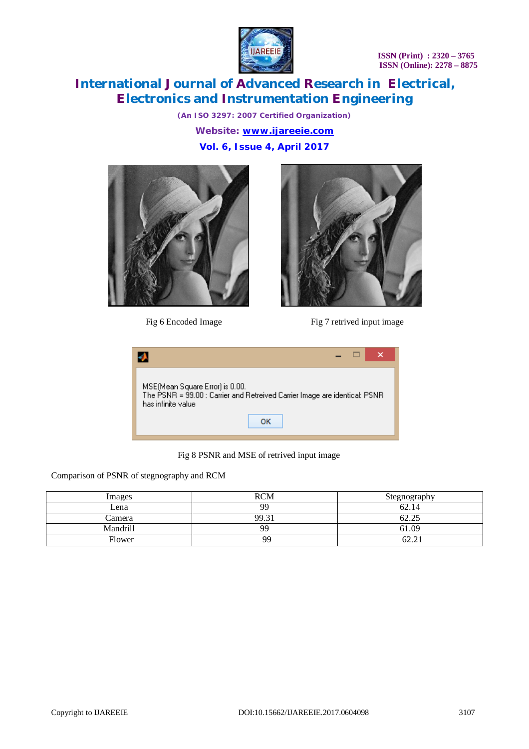**ISSN (Print) : 2320 – 3765 ISSN (Online): 2278 – 8875**



# **International Journal of Advanced Research in Electrical, Electronics and Instrumentation Engineering**

*(An ISO 3297: 2007 Certified Organization) Website: [www.ijareeie.com](http://www.ijareeie.com)* **Vol. 6, Issue 4, April 2017**





Fig 6 Encoded Image Fig 7 retrived input image



Fig 8 PSNR and MSE of retrived input image

Comparison of PSNR of stegnography and RCM

| Images   | <b>RCM</b> | Stegnography                     |
|----------|------------|----------------------------------|
| Lena     | <b>QQ</b>  | 62.14                            |
| Camera   | 99.3       | 62.25                            |
| Mandrill | QQ         | 61.09                            |
| Flower   | QQ         | $\overline{\phantom{a}}$<br>02.Z |